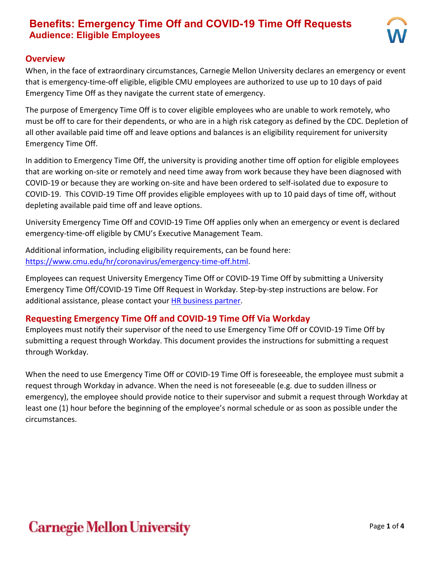

#### **Overview**

When, in the face of extraordinary circumstances, Carnegie Mellon University declares an emergency or event that is emergency-time-off eligible, eligible CMU employees are authorized to use up to 10 days of paid Emergency Time Off as they navigate the current state of emergency.

The purpose of Emergency Time Off is to cover eligible employees who are unable to work remotely, who must be off to care for their dependents, or who are in a high risk category as defined by the CDC. Depletion of all other available paid time off and leave options and balances is an eligibility requirement for university Emergency Time Off.

In addition to Emergency Time Off, the university is providing another time off option for eligible employees that are working on-site or remotely and need time away from work because they have been diagnosed with COVID-19 or because they are working on-site and have been ordered to self-isolated due to exposure to COVID-19. This COVID-19 Time Off provides eligible employees with up to 10 paid days of time off, without depleting available paid time off and leave options.

University Emergency Time Off and COVID-19 Time Off applies only when an emergency or event is declared emergency-time-off eligible by CMU's Executive Management Team.

Additional information, including eligibility requirements, can be found here: [https://www.cmu.edu/hr/coronavirus/emergency-time-off.html.](https://www.cmu.edu/hr/coronavirus/emergency-time-off.html)

Employees can request University Emergency Time Off or COVID-19 Time Off by submitting a University Emergency Time Off/COVID-19 Time Off Request in Workday. Step-by-step instructions are below. For additional assistance, please contact your [HR business partner.](https://www.cmu.edu/hr/resources/hr-partners/hr-services/hr-managers.html)

#### **Requesting Emergency Time Off and COVID-19 Time Off Via Workday**

Employees must notify their supervisor of the need to use Emergency Time Off or COVID-19 Time Off by submitting a request through Workday. This document provides the instructions for submitting a request through Workday.

When the need to use Emergency Time Off or COVID-19 Time Off is foreseeable, the employee must submit a request through Workday in advance. When the need is not foreseeable (e.g. due to sudden illness or emergency), the employee should provide notice to their supervisor and submit a request through Workday at least one (1) hour before the beginning of the employee's normal schedule or as soon as possible under the circumstances.

# **Carnegie Mellon University**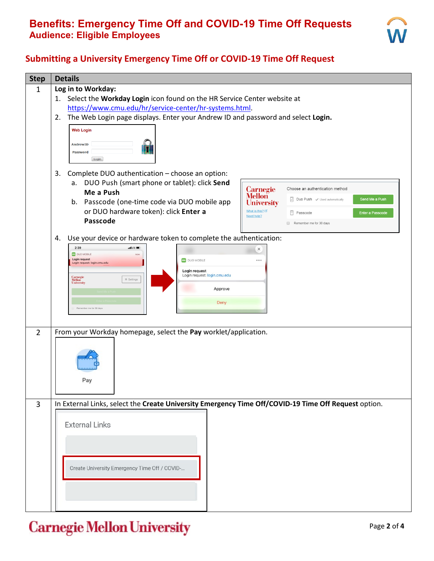

#### **Submitting a University Emergency Time Off or COVID-19 Time Off Request**

| <b>Step</b>    | <b>Details</b>                                                                                                                               |  |  |  |  |
|----------------|----------------------------------------------------------------------------------------------------------------------------------------------|--|--|--|--|
| $\mathbf{1}$   | Log in to Workday:                                                                                                                           |  |  |  |  |
|                | 1. Select the Workday Login icon found on the HR Service Center website at                                                                   |  |  |  |  |
|                | https://www.cmu.edu/hr/service-center/hr-systems.html.                                                                                       |  |  |  |  |
|                | The Web Login page displays. Enter your Andrew ID and password and select Login.<br>2.                                                       |  |  |  |  |
|                | <b>Web Login</b>                                                                                                                             |  |  |  |  |
|                | AndrewID                                                                                                                                     |  |  |  |  |
|                | Password                                                                                                                                     |  |  |  |  |
|                | Login                                                                                                                                        |  |  |  |  |
|                | Complete DUO authentication - choose an option:<br>3.                                                                                        |  |  |  |  |
|                | DUO Push (smart phone or tablet): click Send<br>a.                                                                                           |  |  |  |  |
|                | <b>Carnegie</b><br>Choose an authentication method<br>Me a Push<br><b>Mellon</b>                                                             |  |  |  |  |
|                | $\boxed{2}$ Duo Push $\checkmark$ Used automatically<br>Send Me a Push<br>b. Passcode (one-time code via DUO mobile app<br><b>University</b> |  |  |  |  |
|                | or DUO hardware token): click Enter a<br>What is this? L'<br>Ē.<br>Enter a Passcode<br>Passcode<br>Need help?                                |  |  |  |  |
|                | Passcode<br>Remember me for 30 days                                                                                                          |  |  |  |  |
|                |                                                                                                                                              |  |  |  |  |
|                | Use your device or hardware token to complete the authentication:<br>4.<br>2:39<br>$m$ LTE                                                   |  |  |  |  |
|                | $\times$<br>DUO MOBILE<br>now                                                                                                                |  |  |  |  |
|                | Login request<br><b>DUO MOBILE</b><br>000<br>Login request: login.cmu.edu                                                                    |  |  |  |  |
|                | Login request<br>Login request: login.cmu.edu                                                                                                |  |  |  |  |
|                | <b>Carnegie<br/>Mellon<br/>University</b><br>$\equiv$ Settings<br>Approve                                                                    |  |  |  |  |
|                |                                                                                                                                              |  |  |  |  |
|                | Deny<br>ember me for 30 days                                                                                                                 |  |  |  |  |
|                |                                                                                                                                              |  |  |  |  |
|                |                                                                                                                                              |  |  |  |  |
| $\overline{2}$ | From your Workday homepage, select the Pay worklet/application.                                                                              |  |  |  |  |
|                |                                                                                                                                              |  |  |  |  |
|                |                                                                                                                                              |  |  |  |  |
|                |                                                                                                                                              |  |  |  |  |
|                | Pay                                                                                                                                          |  |  |  |  |
|                |                                                                                                                                              |  |  |  |  |
| $\overline{3}$ | In External Links, select the Create University Emergency Time Off/COVID-19 Time Off Request option.                                         |  |  |  |  |
|                |                                                                                                                                              |  |  |  |  |
|                | <b>External Links</b>                                                                                                                        |  |  |  |  |
|                |                                                                                                                                              |  |  |  |  |
|                |                                                                                                                                              |  |  |  |  |
|                |                                                                                                                                              |  |  |  |  |
|                |                                                                                                                                              |  |  |  |  |
|                | Create University Emergency Time Off / COVID-                                                                                                |  |  |  |  |
|                |                                                                                                                                              |  |  |  |  |
|                |                                                                                                                                              |  |  |  |  |
|                |                                                                                                                                              |  |  |  |  |

**Carnegie Mellon University**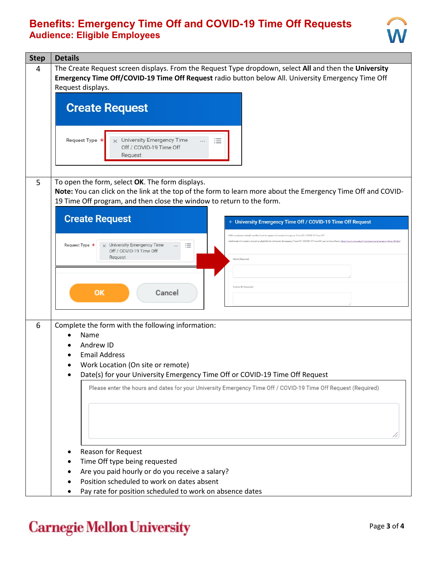

| <b>Step</b> | <b>Details</b>                                                                                                                                                                                                                                                                                                                                                                                                                                                                                                                                                                                                                                                                                                                                                             |
|-------------|----------------------------------------------------------------------------------------------------------------------------------------------------------------------------------------------------------------------------------------------------------------------------------------------------------------------------------------------------------------------------------------------------------------------------------------------------------------------------------------------------------------------------------------------------------------------------------------------------------------------------------------------------------------------------------------------------------------------------------------------------------------------------|
| 4           | The Create Request screen displays. From the Request Type dropdown, select All and then the University<br>Emergency Time Off/COVID-19 Time Off Request radio button below All. University Emergency Time Off<br>Request displays.<br><b>Create Request</b><br>Request Type *<br>University Emergency Time<br>≔<br>$\times$<br>$\cdots$<br>Off / COVID-19 Time Off<br>Request                                                                                                                                                                                                                                                                                                                                                                                               |
| 5           | To open the form, select OK. The form displays.<br>Note: You can click on the link at the top of the form to learn more about the Emergency Time Off and COVID-<br>19 Time Off program, and then close the window to return to the form.<br><b>Create Request</b><br>← University Emergency Time Off / COVID-19 Time Off Request<br>CMU employees should use this form to request University Emergency Time Off / COVID-19 Time Off<br>Additional Information, including eligibility for University Emergency Time Off / COVID-19 Time Off, can be found here: https://www.cmu.edu/hr/coronavirus/emergen<br>Request Type *<br>University Emergency Time<br>這<br>$\cdots$<br>Off / COVID-19 Time Off<br>Request<br>Name (Required)<br>Andrew ID (Required)<br>OK<br>Cancel |
| 6           | Complete the form with the following information:<br>Name<br>Andrew ID<br><b>Email Address</b><br>Work Location (On site or remote)<br>Date(s) for your University Emergency Time Off or COVID-19 Time Off Request<br>Please enter the hours and dates for your University Emergency Time Off / COVID-19 Time Off Request (Required)<br>Reason for Request<br>Time Off type being requested<br>Are you paid hourly or do you receive a salary?<br>Position scheduled to work on dates absent<br>Pay rate for position scheduled to work on absence dates                                                                                                                                                                                                                   |

# **Carnegie Mellon University**